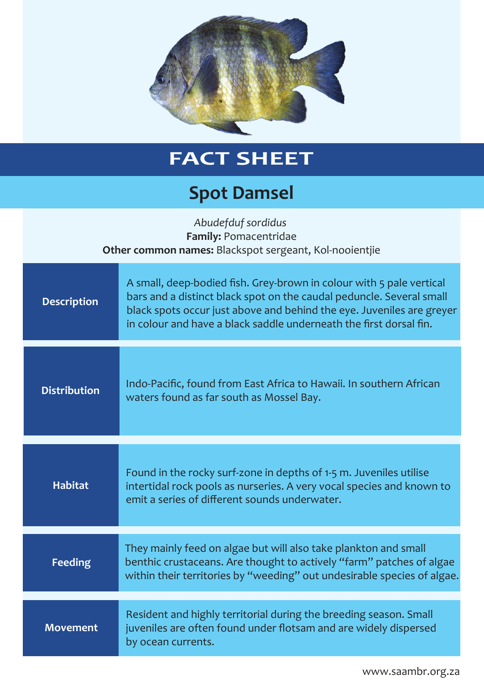

## **FACT SHEET**

## **Spot Damsel**

| Abudefduf sordidus<br>Family: Pomacentridae<br>Other common names: Blackspot sergeant, Kol-nooientjie |                                                                                                                                                                                                                                                                                             |
|-------------------------------------------------------------------------------------------------------|---------------------------------------------------------------------------------------------------------------------------------------------------------------------------------------------------------------------------------------------------------------------------------------------|
| <b>Description</b>                                                                                    | A small, deep-bodied fish. Grey-brown in colour with 5 pale vertical<br>bars and a distinct black spot on the caudal peduncle. Several small<br>black spots occur just above and behind the eye. Juveniles are greyer<br>in colour and have a black saddle underneath the first dorsal fin. |
| <b>Distribution</b>                                                                                   | Indo-Pacific, found from East Africa to Hawaii. In southern African<br>waters found as far south as Mossel Bay.                                                                                                                                                                             |
| <b>Habitat</b>                                                                                        | Found in the rocky surf-zone in depths of 1-5 m. Juveniles utilise<br>intertidal rock pools as nurseries. A very vocal species and known to<br>emit a series of different sounds underwater.                                                                                                |
| <b>Feeding</b>                                                                                        | They mainly feed on algae but will also take plankton and small<br>benthic crustaceans. Are thought to actively "farm" patches of algae<br>within their territories by "weeding" out undesirable species of algae.                                                                          |
| <b>Movement</b>                                                                                       | Resident and highly territorial during the breeding season. Small<br>juveniles are often found under flotsam and are widely dispersed<br>by ocean currents.                                                                                                                                 |